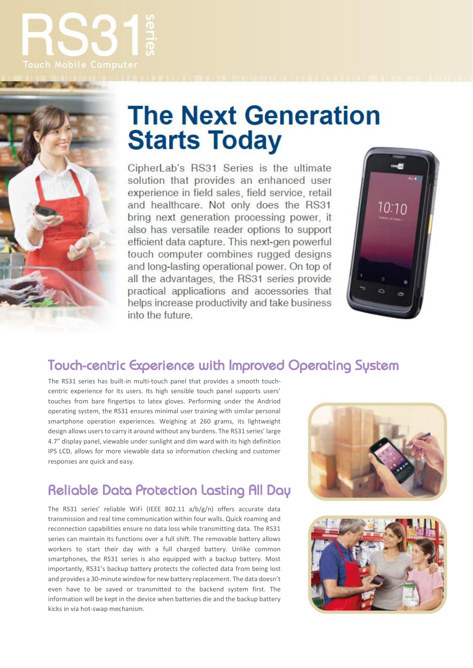



# **The Next Generation Starts Today**

CipherLab's RS31 Series is the ultimate solution that provides an enhanced user experience in field sales, field service, retail and healthcare. Not only does the RS31 bring next generation processing power, it also has versatile reader options to support efficient data capture. This next-gen powerful touch computer combines rugged designs and long-lasting operational power. On top of all the advantages, the RS31 series provide practical applications and accessories that helps increase productivity and take business into the future.



### Touch-centric Experience with Improved Operating System

The RS31 series has built-in multi-touch panel that provides a smooth touchcentric experience for its users. Its high sensible touch panel supports users' touches from bare fingertips to latex gloves. Performing under the Andriod operating system, the RS31 ensures minimal user training with similar personal smartphone operation experiences. Weighing at 260 grams, its lightweight design allows users to carry it around without any burdens. The RS31 series' large 4.7" display panel, viewable under sunlight and dim ward with its high definition IPS LCD, allows for more viewable data so information checking and customer responses are quick and easy.

## Reliable Data Protection Lasting All Day

The RS31 series' reliable WiFi (IEEE 802.11 a/b/g/n) offers accurate data transmission and real time communication within four walls. Quick roaming and reconnection capabilities ensure no data loss while transmitting data. The RS31 series can maintain its functions over a full shift. The removable battery allows workers to start their day with a full charged battery. Unlike common smartphones, the RS31 series is also equipped with a backup battery. Most importantly, RS31's backup battery protects the collected data from being lost and provides a 30-minute window for new battery replacement. The data doesn't even have to be saved or transmitted to the backend system first. The information will be kept in the device when batteries die and the backup battery kicks in via hot-swap mechanism.



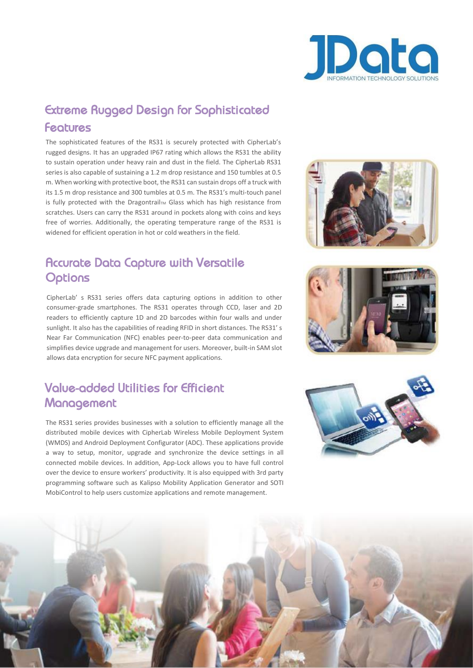

### Extreme Rugged Design for Sophisticated Features

The sophisticated features of the RS31 is securely protected with CipherLab's rugged designs. It has an upgraded IP67 rating which allows the RS31 the ability to sustain operation under heavy rain and dust in the field. The CipherLab RS31 series is also capable of sustaining a 1.2 m drop resistance and 150 tumbles at 0.5 m. When working with protective boot, the RS31 can sustain drops off a truck with its 1.5 m drop resistance and 300 tumbles at 0.5 m. The RS31's multi-touch panel is fully protected with the Dragontrail<sub>TM</sub> Glass which has high resistance from scratches. Users can carry the RS31 around in pockets along with coins and keys free of worries. Additionally, the operating temperature range of the RS31 is widened for efficient operation in hot or cold weathers in the field.

#### Accurate Data Capture with Versatile **Options**

CipherLab' s RS31 series offers data capturing options in addition to other consumer-grade smartphones. The RS31 operates through CCD, laser and 2D readers to efficiently capture 1D and 2D barcodes within four walls and under sunlight. It also has the capabilities of reading RFID in short distances. The RS31' s Near Far Communication (NFC) enables peer-to-peer data communication and simplifies device upgrade and management for users. Moreover, built-in SAM slot allows data encryption for secure NFC payment applications.

#### Value-added Utilities for Efficient **Management**

The RS31 series provides businesses with a solution to efficiently manage all the distributed mobile devices with CipherLab Wireless Mobile Deployment System (WMDS) and Android Deployment Configurator (ADC). These applications provide a way to setup, monitor, upgrade and synchronize the device settings in all connected mobile devices. In addition, App-Lock allows you to have full control over the device to ensure workers' productivity. It is also equipped with 3rd party programming software such as Kalipso Mobility Application Generator and SOTI MobiControl to help users customize applications and remote management.